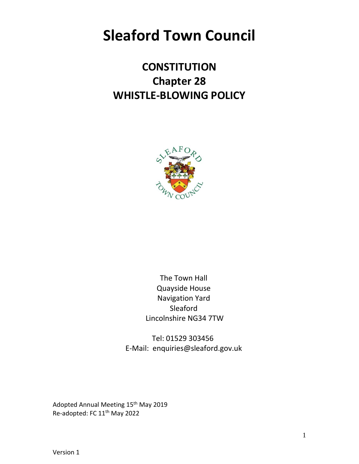# **Sleaford Town Council**

# **CONSTITUTION Chapter 28 WHISTLE-BLOWING POLICY**



The Town Hall Quayside House Navigation Yard Sleaford Lincolnshire NG34 7TW

Tel: 01529 303456 E-Mail: enquiries@sleaford.gov.uk

Adopted Annual Meeting 15<sup>th</sup> May 2019 Re-adopted: FC 11th May 2022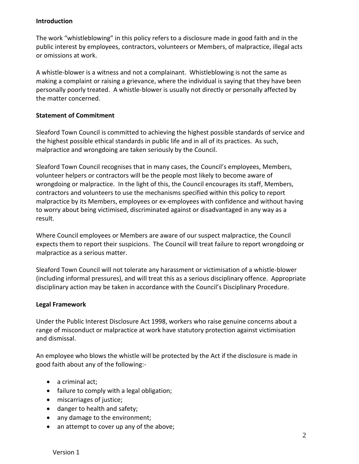#### **Introduction**

The work "whistleblowing" in this policy refers to a disclosure made in good faith and in the public interest by employees, contractors, volunteers or Members, of malpractice, illegal acts or omissions at work.

A whistle-blower is a witness and not a complainant. Whistleblowing is not the same as making a complaint or raising a grievance, where the individual is saying that they have been personally poorly treated. A whistle-blower is usually not directly or personally affected by the matter concerned.

### **Statement of Commitment**

Sleaford Town Council is committed to achieving the highest possible standards of service and the highest possible ethical standards in public life and in all of its practices. As such, malpractice and wrongdoing are taken seriously by the Council.

Sleaford Town Council recognises that in many cases, the Council's employees, Members, volunteer helpers or contractors will be the people most likely to become aware of wrongdoing or malpractice. In the light of this, the Council encourages its staff, Members, contractors and volunteers to use the mechanisms specified within this policy to report malpractice by its Members, employees or ex-employees with confidence and without having to worry about being victimised, discriminated against or disadvantaged in any way as a result.

Where Council employees or Members are aware of our suspect malpractice, the Council expects them to report their suspicions. The Council will treat failure to report wrongdoing or malpractice as a serious matter.

Sleaford Town Council will not tolerate any harassment or victimisation of a whistle-blower (including informal pressures), and will treat this as a serious disciplinary offence. Appropriate disciplinary action may be taken in accordance with the Council's Disciplinary Procedure.

# **Legal Framework**

Under the Public Interest Disclosure Act 1998, workers who raise genuine concerns about a range of misconduct or malpractice at work have statutory protection against victimisation and dismissal.

An employee who blows the whistle will be protected by the Act if the disclosure is made in good faith about any of the following:-

- a criminal act;
- failure to comply with a legal obligation;
- miscarriages of justice;
- danger to health and safety;
- any damage to the environment;
- an attempt to cover up any of the above;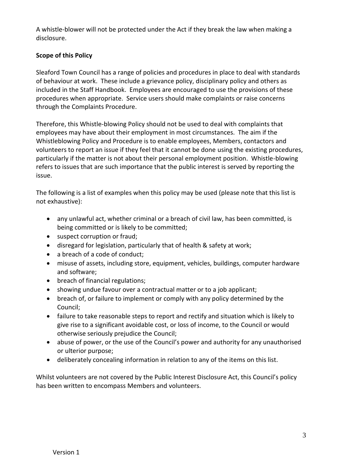A whistle-blower will not be protected under the Act if they break the law when making a disclosure.

# **Scope of this Policy**

Sleaford Town Council has a range of policies and procedures in place to deal with standards of behaviour at work. These include a grievance policy, disciplinary policy and others as included in the Staff Handbook. Employees are encouraged to use the provisions of these procedures when appropriate. Service users should make complaints or raise concerns through the Complaints Procedure.

Therefore, this Whistle-blowing Policy should not be used to deal with complaints that employees may have about their employment in most circumstances. The aim if the Whistleblowing Policy and Procedure is to enable employees, Members, contactors and volunteers to report an issue if they feel that it cannot be done using the existing procedures, particularly if the matter is not about their personal employment position. Whistle-blowing refers to issues that are such importance that the public interest is served by reporting the issue.

The following is a list of examples when this policy may be used (please note that this list is not exhaustive):

- any unlawful act, whether criminal or a breach of civil law, has been committed, is being committed or is likely to be committed;
- suspect corruption or fraud;
- disregard for legislation, particularly that of health & safety at work;
- a breach of a code of conduct;
- misuse of assets, including store, equipment, vehicles, buildings, computer hardware and software;
- breach of financial regulations;
- showing undue favour over a contractual matter or to a job applicant;
- breach of, or failure to implement or comply with any policy determined by the Council;
- failure to take reasonable steps to report and rectify and situation which is likely to give rise to a significant avoidable cost, or loss of income, to the Council or would otherwise seriously prejudice the Council;
- abuse of power, or the use of the Council's power and authority for any unauthorised or ulterior purpose;
- deliberately concealing information in relation to any of the items on this list.

Whilst volunteers are not covered by the Public Interest Disclosure Act, this Council's policy has been written to encompass Members and volunteers.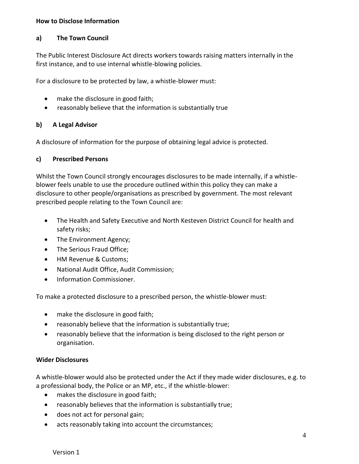#### **How to Disclose Information**

### **a) The Town Council**

The Public Interest Disclosure Act directs workers towards raising matters internally in the first instance, and to use internal whistle-blowing policies.

For a disclosure to be protected by law, a whistle-blower must:

- make the disclosure in good faith;
- reasonably believe that the information is substantially true

#### **b) A Legal Advisor**

A disclosure of information for the purpose of obtaining legal advice is protected.

# **c) Prescribed Persons**

Whilst the Town Council strongly encourages disclosures to be made internally, if a whistleblower feels unable to use the procedure outlined within this policy they can make a disclosure to other people/organisations as prescribed by government. The most relevant prescribed people relating to the Town Council are:

- The Health and Safety Executive and North Kesteven District Council for health and safety risks;
- The Environment Agency;
- The Serious Fraud Office;
- HM Revenue & Customs;
- National Audit Office, Audit Commission;
- Information Commissioner.

To make a protected disclosure to a prescribed person, the whistle-blower must:

- make the disclosure in good faith;
- reasonably believe that the information is substantially true;
- reasonably believe that the information is being disclosed to the right person or organisation.

# **Wider Disclosures**

A whistle-blower would also be protected under the Act if they made wider disclosures, e.g. to a professional body, the Police or an MP, etc., if the whistle-blower:

- makes the disclosure in good faith;
- reasonably believes that the information is substantially true;
- does not act for personal gain;
- acts reasonably taking into account the circumstances;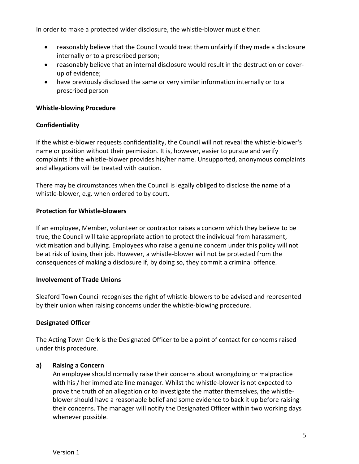In order to make a protected wider disclosure, the whistle-blower must either:

- reasonably believe that the Council would treat them unfairly if they made a disclosure internally or to a prescribed person;
- reasonably believe that an internal disclosure would result in the destruction or coverup of evidence;
- have previously disclosed the same or very similar information internally or to a prescribed person

### **Whistle-blowing Procedure**

#### **Confidentiality**

If the whistle-blower requests confidentiality, the Council will not reveal the whistle-blower's name or position without their permission. It is, however, easier to pursue and verify complaints if the whistle-blower provides his/her name. Unsupported, anonymous complaints and allegations will be treated with caution.

There may be circumstances when the Council is legally obliged to disclose the name of a whistle-blower, e.g. when ordered to by court.

#### **Protection for Whistle-blowers**

If an employee, Member, volunteer or contractor raises a concern which they believe to be true, the Council will take appropriate action to protect the individual from harassment, victimisation and bullying. Employees who raise a genuine concern under this policy will not be at risk of losing their job. However, a whistle-blower will not be protected from the consequences of making a disclosure if, by doing so, they commit a criminal offence.

# **Involvement of Trade Unions**

Sleaford Town Council recognises the right of whistle-blowers to be advised and represented by their union when raising concerns under the whistle-blowing procedure.

# **Designated Officer**

The Acting Town Clerk is the Designated Officer to be a point of contact for concerns raised under this procedure.

# **a) Raising a Concern**

An employee should normally raise their concerns about wrongdoing or malpractice with his / her immediate line manager. Whilst the whistle-blower is not expected to prove the truth of an allegation or to investigate the matter themselves, the whistleblower should have a reasonable belief and some evidence to back it up before raising their concerns. The manager will notify the Designated Officer within two working days whenever possible.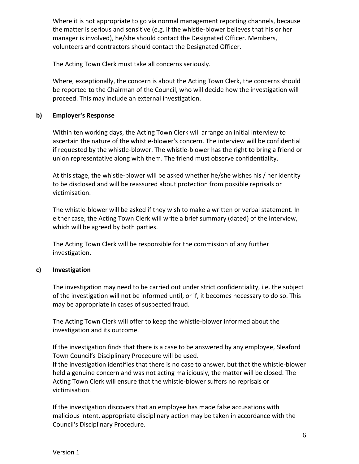Where it is not appropriate to go via normal management reporting channels, because the matter is serious and sensitive (e.g. if the whistle-blower believes that his or her manager is involved), he/she should contact the Designated Officer. Members, volunteers and contractors should contact the Designated Officer.

The Acting Town Clerk must take all concerns seriously.

Where, exceptionally, the concern is about the Acting Town Clerk, the concerns should be reported to the Chairman of the Council, who will decide how the investigation will proceed. This may include an external investigation.

#### **b) Employer's Response**

Within ten working days, the Acting Town Clerk will arrange an initial interview to ascertain the nature of the whistle-blower's concern. The interview will be confidential if requested by the whistle-blower. The whistle-blower has the right to bring a friend or union representative along with them. The friend must observe confidentiality.

At this stage, the whistle-blower will be asked whether he/she wishes his / her identity to be disclosed and will be reassured about protection from possible reprisals or victimisation.

The whistle-blower will be asked if they wish to make a written or verbal statement. In either case, the Acting Town Clerk will write a brief summary (dated) of the interview, which will be agreed by both parties.

The Acting Town Clerk will be responsible for the commission of any further investigation.

# **c) Investigation**

The investigation may need to be carried out under strict confidentiality, i.e. the subject of the investigation will not be informed until, or if, it becomes necessary to do so. This may be appropriate in cases of suspected fraud.

The Acting Town Clerk will offer to keep the whistle-blower informed about the investigation and its outcome.

If the investigation finds that there is a case to be answered by any employee, Sleaford Town Council's Disciplinary Procedure will be used.

If the investigation identifies that there is no case to answer, but that the whistle-blower held a genuine concern and was not acting maliciously, the matter will be closed. The Acting Town Clerk will ensure that the whistle-blower suffers no reprisals or victimisation.

If the investigation discovers that an employee has made false accusations with malicious intent, appropriate disciplinary action may be taken in accordance with the Council's Disciplinary Procedure.